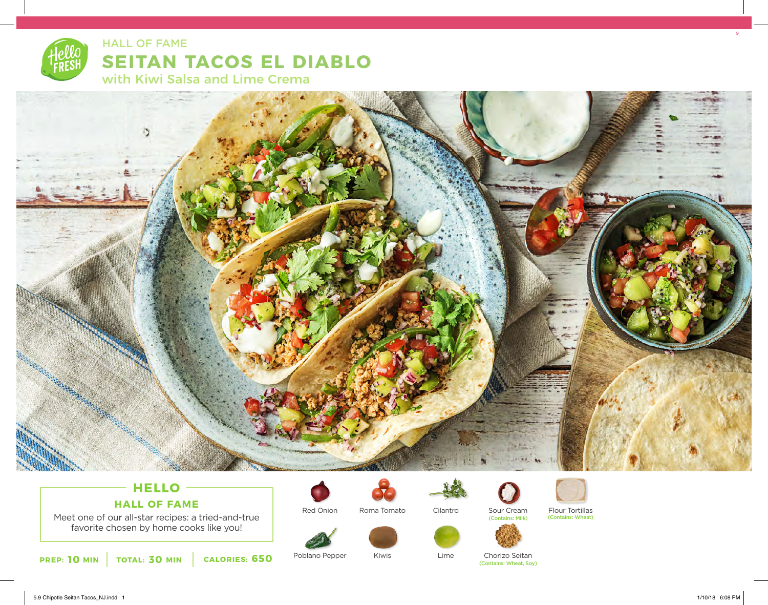# **SEITAN TACOS EL DIABLO** with Kiwi Salsa and Lime Crema HALL OF FAME



## **HELLO HALL OF FAME**

Meet one of our all-star recipes: a tried-and-true favorite chosen by home cooks like you!

Red Onion



Kiwis





Lime

(Contains: Wheat, Soy)



**10** MIN | TOTAL: 30 MIN | CALORIES: 650

Poblano Pepper Kiwis Kiwis Lime Chorizo Seitan

5.9 Chipotle Seitan Tacos\_NJ.indd 1 1/10/18 6:08 PM

9